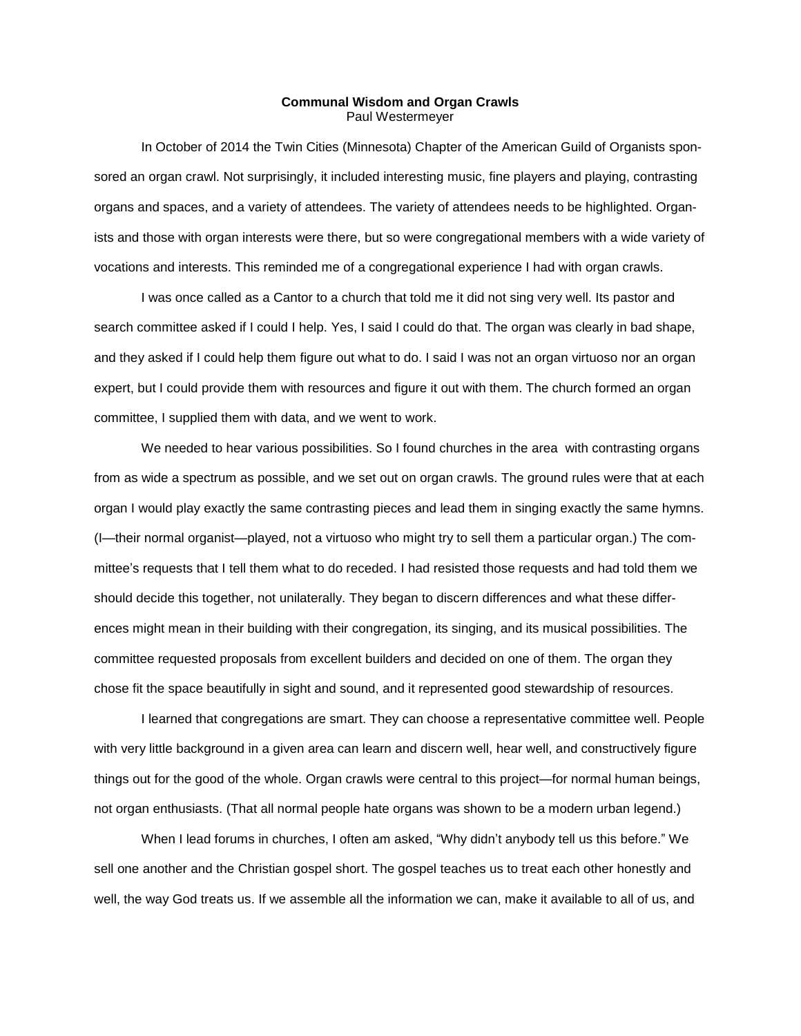## **Communal Wisdom and Organ Crawls** Paul Westermeyer

In October of 2014 the Twin Cities (Minnesota) Chapter of the American Guild of Organists sponsored an organ crawl. Not surprisingly, it included interesting music, fine players and playing, contrasting organs and spaces, and a variety of attendees. The variety of attendees needs to be highlighted. Organists and those with organ interests were there, but so were congregational members with a wide variety of vocations and interests. This reminded me of a congregational experience I had with organ crawls.

I was once called as a Cantor to a church that told me it did not sing very well. Its pastor and search committee asked if I could I help. Yes, I said I could do that. The organ was clearly in bad shape, and they asked if I could help them figure out what to do. I said I was not an organ virtuoso nor an organ expert, but I could provide them with resources and figure it out with them. The church formed an organ committee, I supplied them with data, and we went to work.

We needed to hear various possibilities. So I found churches in the area with contrasting organs from as wide a spectrum as possible, and we set out on organ crawls. The ground rules were that at each organ I would play exactly the same contrasting pieces and lead them in singing exactly the same hymns. (I—their normal organist—played, not a virtuoso who might try to sell them a particular organ.) The committee's requests that I tell them what to do receded. I had resisted those requests and had told them we should decide this together, not unilaterally. They began to discern differences and what these differences might mean in their building with their congregation, its singing, and its musical possibilities. The committee requested proposals from excellent builders and decided on one of them. The organ they chose fit the space beautifully in sight and sound, and it represented good stewardship of resources.

I learned that congregations are smart. They can choose a representative committee well. People with very little background in a given area can learn and discern well, hear well, and constructively figure things out for the good of the whole. Organ crawls were central to this project—for normal human beings, not organ enthusiasts. (That all normal people hate organs was shown to be a modern urban legend.)

When I lead forums in churches, I often am asked, "Why didn't anybody tell us this before." We sell one another and the Christian gospel short. The gospel teaches us to treat each other honestly and well, the way God treats us. If we assemble all the information we can, make it available to all of us, and